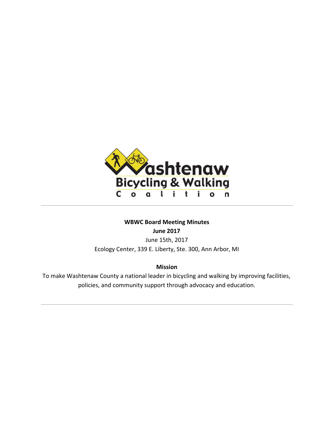

# **WBWC Board Meeting Minutes June 2017**

June 15th, 2017 Ecology Center, 339 E. Liberty, Ste. 300, Ann Arbor, MI

# **Mission**

To make Washtenaw County a national leader in bicycling and walking by improving facilities, policies, and community support through advocacy and education.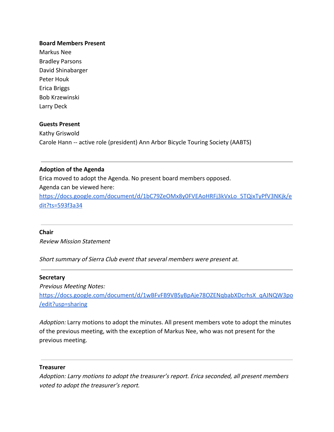## **Board Members Present**

Markus Nee Bradley Parsons David Shinabarger Peter Houk Erica Briggs Bob Krzewinski Larry Deck

## **Guests Present**

Kathy Griswold Carole Hann -- active role (president) Ann Arbor Bicycle Touring Society (AABTS)

## **Adoption of the Agenda**

Erica moved to adopt the Agenda. No present board members opposed.

Agenda can be viewed here:

[https://docs.google.com/document/d/1bC79ZeOMx8y0FVEAoHRFj3kVxLo\\_5TQixTyPfV3NKjk/e](https://docs.google.com/document/d/1bC79ZeOMx8y0FVEAoHRFj3kVxLo_5TQixTyPfV3NKjk/edit?ts=593f3a34) [dit?ts=593f3a34](https://docs.google.com/document/d/1bC79ZeOMx8y0FVEAoHRFj3kVxLo_5TQixTyPfV3NKjk/edit?ts=593f3a34)

#### **Chair**

Review Mission Statement

Short summary of Sierra Club event that several members were present at.

#### **Secretary**

Previous Meeting Notes: [https://docs.google.com/document/d/1wBFvFB9VBSyBpAje78OZENqbabXDcrhsX\\_qAJNQW3po](https://docs.google.com/document/d/1wBFvFB9VBSyBpAje78OZENqbabXDcrhsX_qAJNQW3po/edit?usp=sharing) [/edit?usp=sharing](https://docs.google.com/document/d/1wBFvFB9VBSyBpAje78OZENqbabXDcrhsX_qAJNQW3po/edit?usp=sharing)

Adoption: Larry motions to adopt the minutes. All present members vote to adopt the minutes of the previous meeting, with the exception of Markus Nee, who was not present for the previous meeting.

#### **Treasurer**

Adoption: Larry motions to adopt the treasurer's report. Erica seconded, all present members voted to adopt the treasurer's report.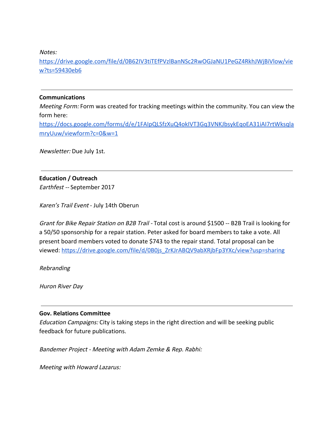Notes:

[https://drive.google.com/file/d/0B62IV3tiTEfPVzlBanNSc2RwOGJaNU1PeGZ4RkhJWjBiVlow/vie](https://drive.google.com/file/d/0B62IV3tiTEfPVzlBanNSc2RwOGJaNU1PeGZ4RkhJWjBiVlow/view?ts=59430eb6) [w?ts=59430eb6](https://drive.google.com/file/d/0B62IV3tiTEfPVzlBanNSc2RwOGJaNU1PeGZ4RkhJWjBiVlow/view?ts=59430eb6)

# **Communications**

Meeting Form: Form was created for tracking meetings within the community. You can view the form here:

[https://docs.google.com/forms/d/e/1FAIpQLSfzXuQ4okIVT3Gq3VNKJbsykEqoEA31iAI7rtWksqla](https://docs.google.com/forms/d/e/1FAIpQLSfzXuQ4okIVT3Gq3VNKJbsykEqoEA31iAI7rtWksqlamryUuw/viewform?c=0&w=1) [mryUuw/viewform?c=0&w=1](https://docs.google.com/forms/d/e/1FAIpQLSfzXuQ4okIVT3Gq3VNKJbsykEqoEA31iAI7rtWksqlamryUuw/viewform?c=0&w=1)

Newsletter: Due July 1st.

# **Education / Outreach**

Earthfest -- September 2017

Karen's Trail Event - July 14th Oberun

Grant for Bike Repair Station on B2B Trail - Total cost is around \$1500 -- B2B Trail is looking for a 50/50 sponsorship for a repair station. Peter asked for board members to take a vote. All present board members voted to donate \$743 to the repair stand. Total proposal can be viewed: [https://drive.google.com/file/d/0B0js\\_ZrKJrABQV9abXRjbFp3YXc/view?usp=sharing](https://drive.google.com/file/d/0B0js_ZrKJrABQV9abXRjbFp3YXc/view?usp=sharing)

Rebranding

Huron River Day

# **Gov. Relations Committee**

Education Campaigns: City is taking steps in the right direction and will be seeking public feedback for future publications.

Bandemer Project - Meeting with Adam Zemke & Rep. Rabhi:

Meeting with Howard Lazarus: